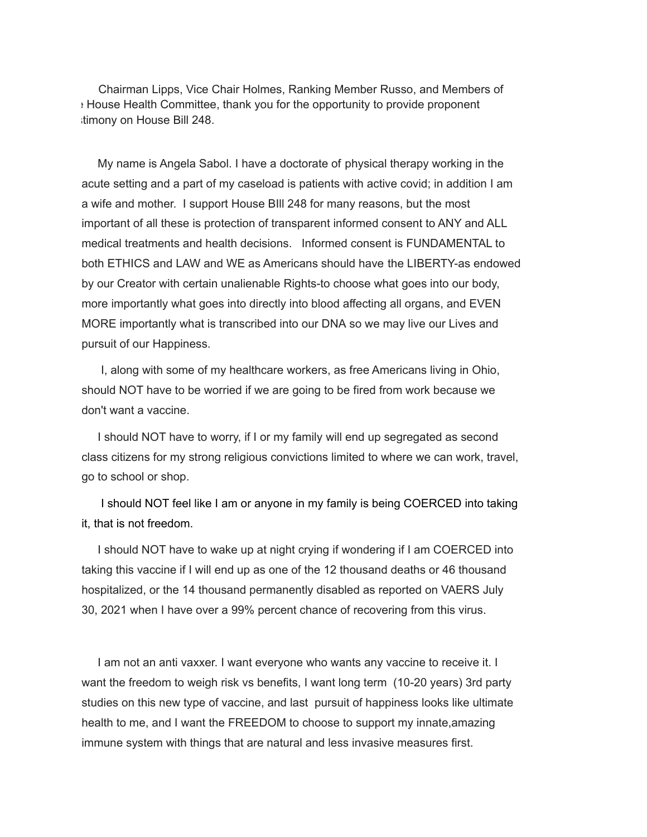Chairman Lipps, Vice Chair Holmes, Ranking Member Russo, and Members of e House Health Committee, thank you for the opportunity to provide proponent stimony on House Bill 248.

My name is Angela Sabol. I have a doctorate of physical therapy working in the acute setting and a part of my caseload is patients with active covid; in addition I am a wife and mother. I support House BIll 248 for many reasons, but the most important of all these is protection of transparent informed consent to ANY and ALL medical treatments and health decisions. Informed consent is FUNDAMENTAL to both ETHICS and LAW and WE as Americans should have the LIBERTY-as endowed by our Creator with certain unalienable Rights-to choose what goes into our body, more importantly what goes into directly into blood affecting all organs, and EVEN MORE importantly what is transcribed into our DNA so we may live our Lives and pursuit of our Happiness.

I, along with some of my healthcare workers, as free Americans living in Ohio, should NOT have to be worried if we are going to be fired from work because we don't want a vaccine.

I should NOT have to worry, if I or my family will end up segregated as second class citizens for my strong religious convictions limited to where we can work, travel, go to school or shop.

I should NOT feel like I am or anyone in my family is being COERCED into taking it, that is not freedom.

I should NOT have to wake up at night crying if wondering if I am COERCED into taking this vaccine if I will end up as one of the 12 thousand deaths or 46 thousand hospitalized, or the 14 thousand permanently disabled as reported on VAERS July 30, 2021 when I have over a 99% percent chance of recovering from this virus.

I am not an anti vaxxer. I want everyone who wants any vaccine to receive it. I want the freedom to weigh risk vs benefits, I want long term (10-20 years) 3rd party studies on this new type of vaccine, and last pursuit of happiness looks like ultimate health to me, and I want the FREEDOM to choose to support my innate,amazing immune system with things that are natural and less invasive measures first.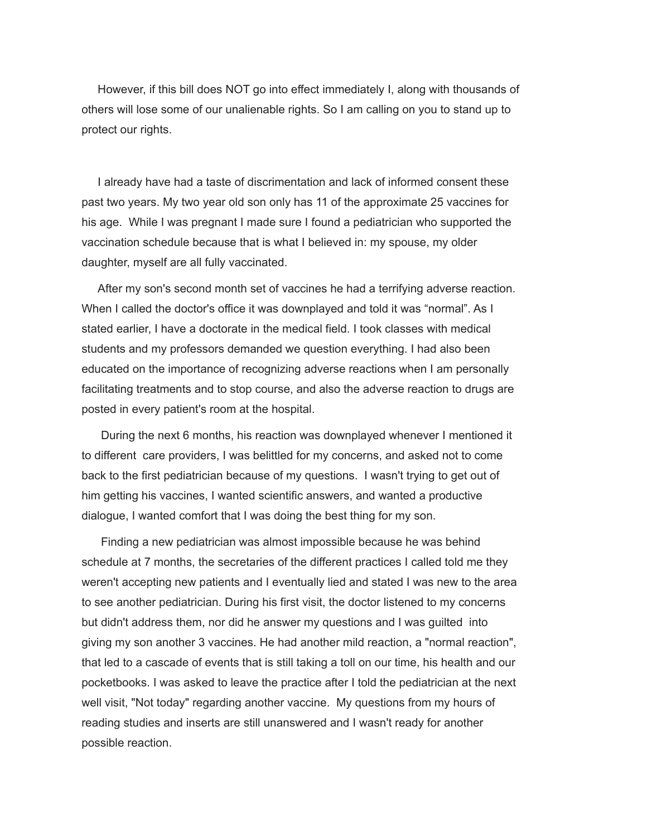However, if this bill does NOT go into effect immediately I, along with thousands of others will lose some of our unalienable rights. So I am calling on you to stand up to protect our rights.

I already have had a taste of discrimentation and lack of informed consent these past two years. My two year old son only has 11 of the approximate 25 vaccines for his age. While I was pregnant I made sure I found a pediatrician who supported the vaccination schedule because that is what I believed in: my spouse, my older daughter, myself are all fully vaccinated.

After my son's second month set of vaccines he had a terrifying adverse reaction. When I called the doctor's office it was downplayed and told it was "normal". As I stated earlier, I have a doctorate in the medical field. I took classes with medical students and my professors demanded we question everything. I had also been educated on the importance of recognizing adverse reactions when I am personally facilitating treatments and to stop course, and also the adverse reaction to drugs are posted in every patient's room at the hospital.

During the next 6 months, his reaction was downplayed whenever I mentioned it to different care providers, I was belittled for my concerns, and asked not to come back to the first pediatrician because of my questions. I wasn't trying to get out of him getting his vaccines, I wanted scientific answers, and wanted a productive dialogue, I wanted comfort that I was doing the best thing for my son.

Finding a new pediatrician was almost impossible because he was behind schedule at 7 months, the secretaries of the different practices I called told me they weren't accepting new patients and I eventually lied and stated I was new to the area to see another pediatrician. During his first visit, the doctor listened to my concerns but didn't address them, nor did he answer my questions and I was guilted into giving my son another 3 vaccines. He had another mild reaction, a "normal reaction", that led to a cascade of events that is still taking a toll on our time, his health and our pocketbooks. I was asked to leave the practice after I told the pediatrician at the next well visit, "Not today" regarding another vaccine. My questions from my hours of reading studies and inserts are still unanswered and I wasn't ready for another possible reaction.